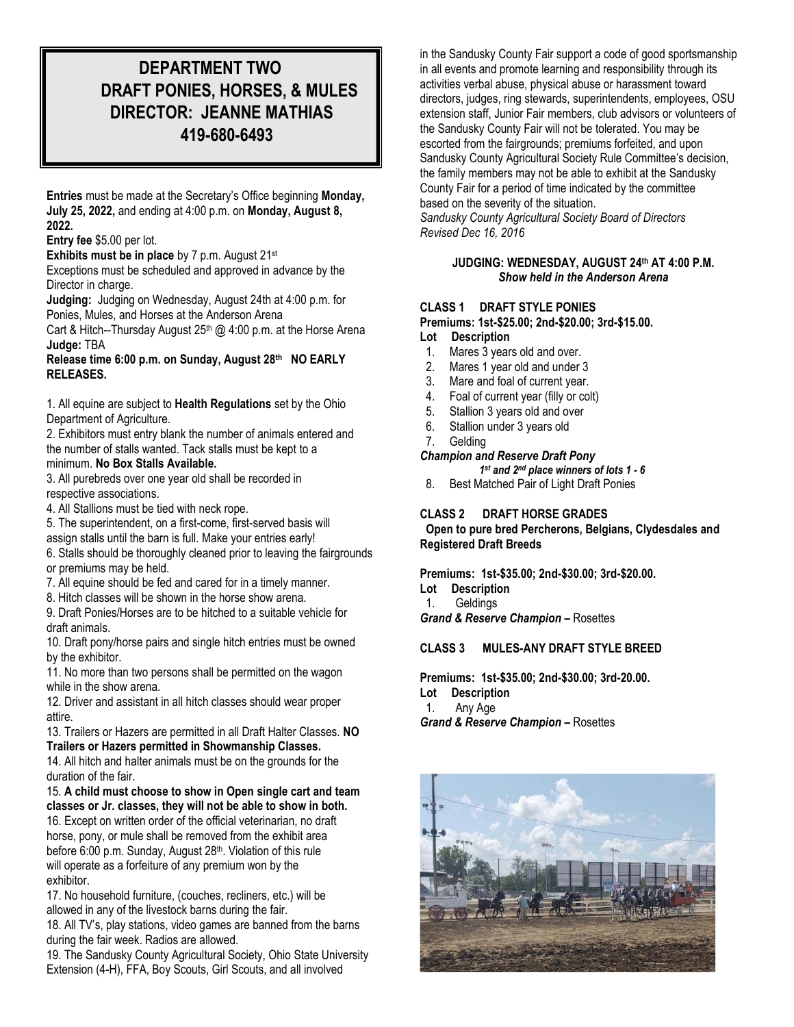# **DEPARTMENT TWO DRAFT PONIES, HORSES, & MULES DIRECTOR: JEANNE MATHIAS 419-680-6493**

**Entries** must be made at the Secretary's Office beginning **Monday, July 25, 2022,** and ending at 4:00 p.m. on **Monday, August 8, 2022.**

**Entry fee** \$5.00 per lot.

**Exhibits must be in place** by 7 p.m. August 21st

Exceptions must be scheduled and approved in advance by the Director in charge.

**Judging:** Judging on Wednesday, August 24th at 4:00 p.m. for Ponies, Mules, and Horses at the Anderson Arena

Cart & Hitch--Thursday August  $25<sup>th</sup>$  @ 4:00 p.m. at the Horse Arena **Judge:** TBA

#### **Release time 6:00 p.m. on Sunday, August 28 th NO EARLY RELEASES.**

1. All equine are subject to **Health Regulations** set by the Ohio Department of Agriculture.

2. Exhibitors must entry blank the number of animals entered and the number of stalls wanted. Tack stalls must be kept to a minimum. **No Box Stalls Available.**

3. All purebreds over one year old shall be recorded in respective associations.

4. All Stallions must be tied with neck rope.

5. The superintendent, on a first-come, first-served basis will assign stalls until the barn is full. Make your entries early!

6. Stalls should be thoroughly cleaned prior to leaving the fairgrounds or premiums may be held.

7. All equine should be fed and cared for in a timely manner.

8. Hitch classes will be shown in the horse show arena.

9. Draft Ponies/Horses are to be hitched to a suitable vehicle for draft animals.

10. Draft pony/horse pairs and single hitch entries must be owned by the exhibitor.

11. No more than two persons shall be permitted on the wagon while in the show arena.

12. Driver and assistant in all hitch classes should wear proper attire.

13. Trailers or Hazers are permitted in all Draft Halter Classes. **NO Trailers or Hazers permitted in Showmanship Classes.**

14. All hitch and halter animals must be on the grounds for the duration of the fair.

15. **A child must choose to show in Open single cart and team classes or Jr. classes, they will not be able to show in both.**

16. Except on written order of the official veterinarian, no draft horse, pony, or mule shall be removed from the exhibit area before 6:00 p.m. Sunday, August 28<sup>th</sup>. Violation of this rule will operate as a forfeiture of any premium won by the exhibitor.

17. No household furniture, (couches, recliners, etc.) will be allowed in any of the livestock barns during the fair.

18. All TV's, play stations, video games are banned from the barns during the fair week. Radios are allowed.

19. The Sandusky County Agricultural Society, Ohio State University Extension (4-H), FFA, Boy Scouts, Girl Scouts, and all involved

in the Sandusky County Fair support a code of good sportsmanship in all events and promote learning and responsibility through its activities verbal abuse, physical abuse or harassment toward directors, judges, ring stewards, superintendents, employees, OSU extension staff, Junior Fair members, club advisors or volunteers of the Sandusky County Fair will not be tolerated. You may be escorted from the fairgrounds; premiums forfeited, and upon Sandusky County Agricultural Society Rule Committee's decision, the family members may not be able to exhibit at the Sandusky County Fair for a period of time indicated by the committee based on the severity of the situation.

*Sandusky County Agricultural Society Board of Directors Revised Dec 16, 2016*

### **JUDGING: WEDNESDAY, AUGUST 24 th AT 4:00 P.M.** *Show held in the Anderson Arena*

## **CLASS 1 DRAFT STYLE PONIES**

**Premiums: 1st-\$25.00; 2nd-\$20.00; 3rd-\$15.00.**

**Lot Description**

- 1. Mares 3 years old and over.
- 2. Mares 1 year old and under 3
- 3. Mare and foal of current year.
- 4. Foal of current year (filly or colt)
- 5. Stallion 3 years old and over
- 6. Stallion under 3 years old
- 7. Gelding

## *Champion and Reserve Draft Pony*

 *1 st and 2nd place winners of lots 1 - 6*

8. Best Matched Pair of Light Draft Ponies

## **CLASS 2 DRAFT HORSE GRADES**

**Open to pure bred Percherons, Belgians, Clydesdales and Registered Draft Breeds**

**Premiums: 1st-\$35.00; 2nd-\$30.00; 3rd-\$20.00.**

- **Lot Description**
- 1. Geldings

*Grand & Reserve Champion –* Rosettes

**CLASS 3 MULES-ANY DRAFT STYLE BREED**

**Premiums: 1st-\$35.00; 2nd-\$30.00; 3rd-20.00.**

**Lot Description**

1. Any Age

*Grand & Reserve Champion –* Rosettes

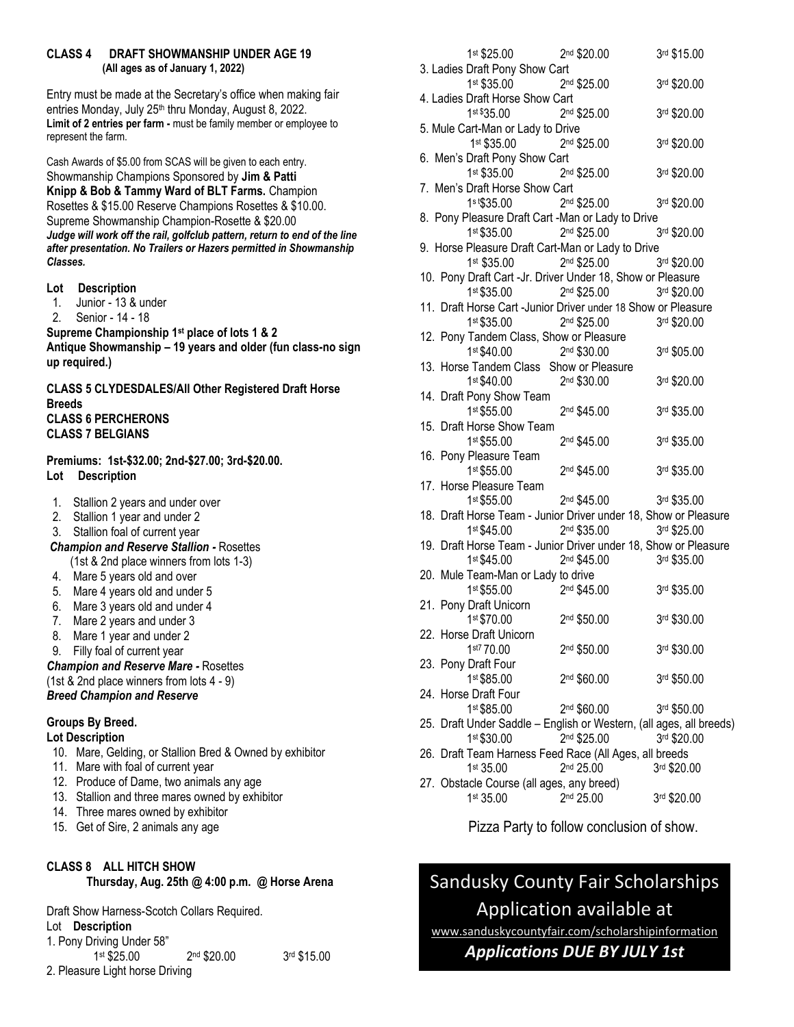## **CLASS 4 DRAFT SHOWMANSHIP UNDER AGE 19 (All ages as of January 1, 2022)**

Entry must be made at the Secretary's office when making fair entries Monday, July 25<sup>th</sup> thru Monday, August 8, 2022. **Limit of 2 entries per farm -** must be family member or employee to represent the farm.

Cash Awards of \$5.00 from SCAS will be given to each entry. Showmanship Champions Sponsored by **Jim & Patti Knipp & Bob & Tammy Ward of BLT Farms.** Champion Rosettes & \$15.00 Reserve Champions Rosettes & \$10.00. Supreme Showmanship Champion-Rosette & \$20.00 Judge will work off the rail, golfclub pattern, return to end of the line *after presentation. No Trailers or Hazers permitted in Showmanship Classes.* 

- **Lot Description**
- 1. Junior 13 & under
- 2. Senior 14 18

**Supreme Championship 1st place of lots 1 & 2 Antique Showmanship – 19 years and older (fun class-no sign up required.)**

**CLASS 5 CLYDESDALES/All Other Registered Draft Horse Breeds CLASS 6 PERCHERONS CLASS 7 BELGIANS**

## **Premiums: 1st-\$32.00; 2nd-\$27.00; 3rd-\$20.00. Lot Description**

- 1. Stallion 2 years and under over
- 2. Stallion 1 year and under 2
- 3. Stallion foal of current year
- *Champion and Reserve Stallion -* Rosettes
	- (1st & 2nd place winners from lots 1-3)
- 4. Mare 5 years old and over
- 5. Mare 4 years old and under 5
- 6. Mare 3 years old and under 4
- 7. Mare 2 years and under 3
- 8. Mare 1 year and under 2
- 9. Filly foal of current year

#### *Champion and Reserve Mare -* Rosettes

(1st & 2nd place winners from lots 4 - 9)

## *Breed Champion and Reserve*

### **Groups By Breed.**

## **Lot Description**

10. Mare, Gelding, or Stallion Bred & Owned by exhibitor

- 11. Mare with foal of current year
- 12. Produce of Dame, two animals any age
- 13. Stallion and three mares owned by exhibitor
- 14. Three mares owned by exhibitor
- 15. Get of Sire, 2 animals any age

## **CLASS 8 ALL HITCH SHOW Thursday, Aug. 25th @ 4:00 p.m. @ Horse Arena**

Draft Show Harness-Scotch Collars Required. Lot **Description**  1. Pony Driving Under 58" 1 st \$25.00 2  $2<sup>nd</sup>$ \$20.00 3rd \$15.00 2. Pleasure Light horse Driving

| 1st \$25.00                             | 2 <sup>nd</sup> \$20.00                                             | 3rd \$15.00 |
|-----------------------------------------|---------------------------------------------------------------------|-------------|
| 3. Ladies Draft Pony Show Cart          |                                                                     |             |
| 1st \$35.00                             | 2 <sup>nd</sup> \$25.00                                             | 3rd \$20.00 |
| 4. Ladies Draft Horse Show Cart         |                                                                     |             |
| 1st \$35.00                             | 2nd \$25.00                                                         | 3rd \$20.00 |
| 5. Mule Cart-Man or Lady to Drive       |                                                                     |             |
| 1st \$35.00                             | 2nd \$25.00                                                         | 3rd \$20.00 |
| 6. Men's Draft Pony Show Cart           |                                                                     |             |
| 1st \$35.00                             | 2nd \$25.00                                                         | 3rd \$20.00 |
| 7. Men's Draft Horse Show Cart          |                                                                     |             |
| 1st\$35.00                              | 2 <sup>nd</sup> \$25.00                                             | 3rd \$20.00 |
|                                         | 8. Pony Pleasure Draft Cart -Man or Lady to Drive                   |             |
|                                         | 1st \$35.00 2nd \$25.00                                             | 3rd \$20.00 |
|                                         | 9. Horse Pleasure Draft Cart-Man or Lady to Drive                   |             |
| 1st \$35.00                             | 2 <sup>nd</sup> \$25.00                                             | 3rd \$20.00 |
|                                         | 10. Pony Draft Cart -Jr. Driver Under 18, Show or Pleasure          |             |
| 1st \$35.00                             | 2 <sup>nd</sup> \$25.00                                             | 3rd \$20.00 |
|                                         | 11. Draft Horse Cart -Junior Driver under 18 Show or Pleasure       |             |
| 1st \$35.00                             | 2nd \$25.00                                                         | 3rd \$20.00 |
| 12. Pony Tandem Class, Show or Pleasure |                                                                     |             |
| 1st \$40.00                             | 2nd \$30.00                                                         | 3rd \$05.00 |
|                                         | 13. Horse Tandem Class Show or Pleasure                             |             |
| 1st \$40.00                             | 2nd \$30.00                                                         | 3rd \$20.00 |
| 14. Draft Pony Show Team                |                                                                     |             |
| 1st \$55.00                             | 2 <sup>nd</sup> \$45.00                                             | 3rd \$35.00 |
| 15. Draft Horse Show Team               |                                                                     |             |
| 1st \$55.00                             | 2 <sup>nd</sup> \$45.00                                             | 3rd \$35.00 |
| 16. Pony Pleasure Team                  |                                                                     |             |
| 1st \$55.00                             | 2nd \$45.00                                                         | 3rd \$35.00 |
| 17. Horse Pleasure Team                 |                                                                     |             |
| 1st \$55.00                             | 2 <sup>nd</sup> \$45.00                                             | 3rd \$35.00 |
|                                         | 18. Draft Horse Team - Junior Driver under 18, Show or Pleasure     |             |
| 1st \$45.00                             | 2nd \$35.00                                                         | 3rd \$25.00 |
|                                         | 19. Draft Horse Team - Junior Driver under 18, Show or Pleasure     |             |
| 1st \$45.00                             | 2nd \$45.00                                                         | 3rd \$35.00 |
| 20. Mule Team-Man or Lady to drive      |                                                                     |             |
| 1st \$55.00                             | 2 <sup>nd</sup> \$45.00                                             | 3rd \$35.00 |
| 21. Pony Draft Unicorn                  |                                                                     |             |
| 1st \$70.00                             | 2nd \$50.00                                                         | 3rd \$30.00 |
| 22. Horse Draft Unicorn                 |                                                                     |             |
| 1st7 70.00                              | 2 <sup>nd</sup> \$50.00                                             | 3rd \$30.00 |
| 23. Pony Draft Four                     |                                                                     |             |
| 1st \$85.00                             | 2nd \$60.00                                                         | 3rd \$50.00 |
| 24. Horse Draft Four                    |                                                                     |             |
| 1st \$85.00                             | 2nd \$60.00                                                         | 3rd \$50.00 |
|                                         | 25. Draft Under Saddle - English or Western, (all ages, all breeds) |             |
| 1st \$30.00                             | 2nd \$25.00                                                         | 3rd \$20.00 |
|                                         | 26. Draft Team Harness Feed Race (All Ages, all breeds              |             |
| 1st 35.00                               | 2 <sup>nd</sup> 25.00                                               | 3rd \$20.00 |

27. Obstacle Course (all ages, any breed) 1 st 35.00 2  $2<sup>nd</sup> 25.00$ 3rd \$20.00

Pizza Party to follow conclusion of show.

# Sandusky County Fair Scholarships Application available at

[www.sanduskycountyfair.com/scholarshipinformation](about:blank)

## *Applications DUE BY JULY 1st*